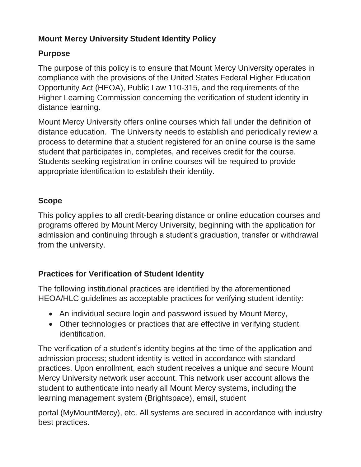## **Mount Mercy University Student Identity Policy**

### **Purpose**

The purpose of this policy is to ensure that Mount Mercy University operates in compliance with the provisions of the United States Federal Higher Education Opportunity Act (HEOA), Public Law 110-315, and the requirements of the Higher Learning Commission concerning the verification of student identity in distance learning.

Mount Mercy University offers online courses which fall under the definition of distance education. The University needs to establish and periodically review a process to determine that a student registered for an online course is the same student that participates in, completes, and receives credit for the course. Students seeking registration in online courses will be required to provide appropriate identification to establish their identity.

# **Scope**

This policy applies to all credit-bearing distance or online education courses and programs offered by Mount Mercy University, beginning with the application for admission and continuing through a student's graduation, transfer or withdrawal from the university.

# **Practices for Verification of Student Identity**

The following institutional practices are identified by the aforementioned HEOA/HLC guidelines as acceptable practices for verifying student identity:

- An individual secure login and password issued by Mount Mercy,
- Other technologies or practices that are effective in verifying student identification.

The verification of a student's identity begins at the time of the application and admission process; student identity is vetted in accordance with standard practices. Upon enrollment, each student receives a unique and secure Mount Mercy University network user account. This network user account allows the student to authenticate into nearly all Mount Mercy systems, including the learning management system (Brightspace), email, student

portal (MyMountMercy), etc. All systems are secured in accordance with industry best practices.